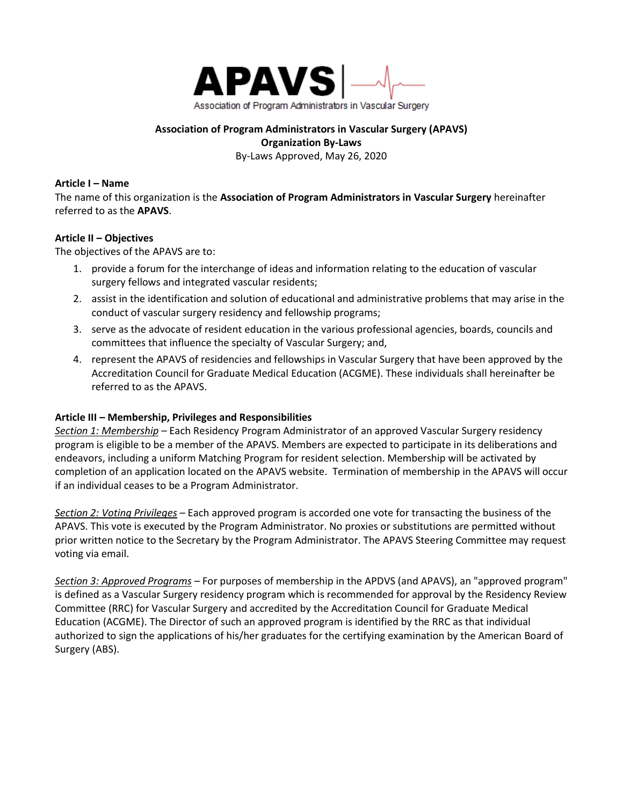

## **Association of Program Administrators in Vascular Surgery (APAVS) Organization By-Laws** By-Laws Approved, May 26, 2020

## **Article I – Name**

The name of this organization is the **Association of Program Administrators in Vascular Surgery** hereinafter referred to as the **APAVS**.

# **Article II – Objectives**

The objectives of the APAVS are to:

- 1. provide a forum for the interchange of ideas and information relating to the education of vascular surgery fellows and integrated vascular residents;
- 2. assist in the identification and solution of educational and administrative problems that may arise in the conduct of vascular surgery residency and fellowship programs;
- 3. serve as the advocate of resident education in the various professional agencies, boards, councils and committees that influence the specialty of Vascular Surgery; and,
- 4. represent the APAVS of residencies and fellowships in Vascular Surgery that have been approved by the Accreditation Council for Graduate Medical Education (ACGME). These individuals shall hereinafter be referred to as the APAVS.

# **Article III – Membership, Privileges and Responsibilities**

*Section 1: Membership –* Each Residency Program Administrator of an approved Vascular Surgery residency program is eligible to be a member of the APAVS. Members are expected to participate in its deliberations and endeavors, including a uniform Matching Program for resident selection. Membership will be activated by completion of an application located on the APAVS website. Termination of membership in the APAVS will occur if an individual ceases to be a Program Administrator.

*Section 2: Voting Privileges –* Each approved program is accorded one vote for transacting the business of the APAVS. This vote is executed by the Program Administrator. No proxies or substitutions are permitted without prior written notice to the Secretary by the Program Administrator. The APAVS Steering Committee may request voting via email.

*Section 3: Approved Programs –* For purposes of membership in the APDVS (and APAVS), an "approved program" is defined as a Vascular Surgery residency program which is recommended for approval by the Residency Review Committee (RRC) for Vascular Surgery and accredited by the Accreditation Council for Graduate Medical Education (ACGME). The Director of such an approved program is identified by the RRC as that individual authorized to sign the applications of his/her graduates for the certifying examination by the American Board of Surgery (ABS).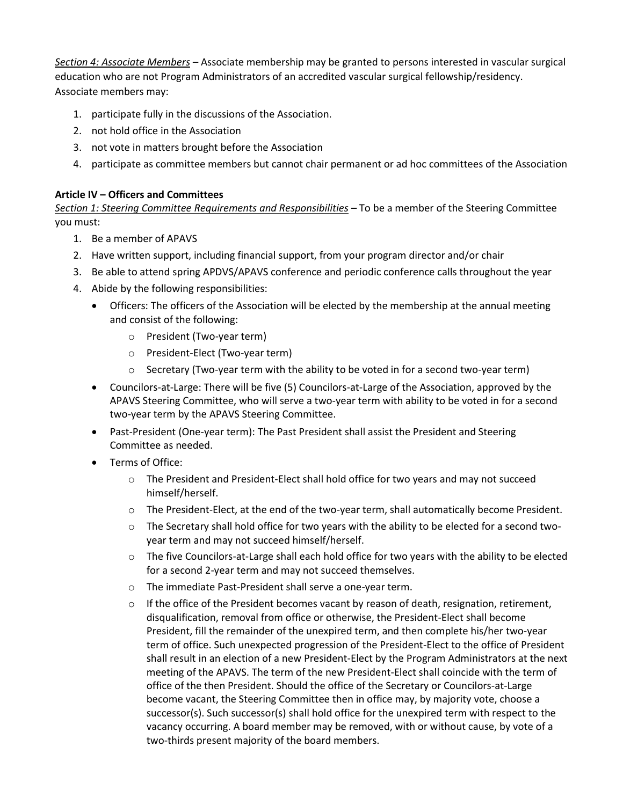*Section 4: Associate Members –* Associate membership may be granted to persons interested in vascular surgical education who are not Program Administrators of an accredited vascular surgical fellowship/residency. Associate members may:

- 1. participate fully in the discussions of the Association.
- 2. not hold office in the Association
- 3. not vote in matters brought before the Association
- 4. participate as committee members but cannot chair permanent or ad hoc committees of the Association

## **Article IV – Officers and Committees**

*Section 1: Steering Committee Requirements and Responsibilities –* To be a member of the Steering Committee you must:

- 1. Be a member of APAVS
- 2. Have written support, including financial support, from your program director and/or chair
- 3. Be able to attend spring APDVS/APAVS conference and periodic conference calls throughout the year
- 4. Abide by the following responsibilities:
	- Officers: The officers of the Association will be elected by the membership at the annual meeting and consist of the following:
		- o President (Two-year term)
		- o President-Elect (Two-year term)
		- $\circ$  Secretary (Two-year term with the ability to be voted in for a second two-year term)
	- Councilors-at-Large: There will be five (5) Councilors-at-Large of the Association, approved by the APAVS Steering Committee, who will serve a two-year term with ability to be voted in for a second two-year term by the APAVS Steering Committee.
	- Past-President (One-year term): The Past President shall assist the President and Steering Committee as needed.
	- Terms of Office:
		- o The President and President-Elect shall hold office for two years and may not succeed himself/herself.
		- o The President-Elect, at the end of the two-year term, shall automatically become President.
		- $\circ$  The Secretary shall hold office for two years with the ability to be elected for a second twoyear term and may not succeed himself/herself.
		- o The five Councilors-at-Large shall each hold office for two years with the ability to be elected for a second 2-year term and may not succeed themselves.
		- o The immediate Past-President shall serve a one-year term.
		- $\circ$  If the office of the President becomes vacant by reason of death, resignation, retirement, disqualification, removal from office or otherwise, the President-Elect shall become President, fill the remainder of the unexpired term, and then complete his/her two-year term of office. Such unexpected progression of the President-Elect to the office of President shall result in an election of a new President-Elect by the Program Administrators at the next meeting of the APAVS. The term of the new President-Elect shall coincide with the term of office of the then President. Should the office of the Secretary or Councilors-at-Large become vacant, the Steering Committee then in office may, by majority vote, choose a successor(s). Such successor(s) shall hold office for the unexpired term with respect to the vacancy occurring. A board member may be removed, with or without cause, by vote of a two-thirds present majority of the board members.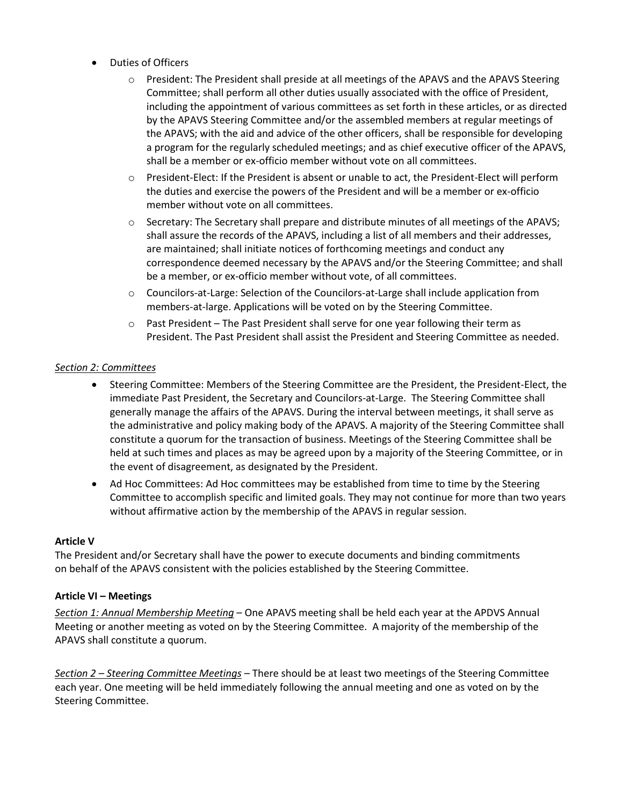- Duties of Officers
	- o President: The President shall preside at all meetings of the APAVS and the APAVS Steering Committee; shall perform all other duties usually associated with the office of President, including the appointment of various committees as set forth in these articles, or as directed by the APAVS Steering Committee and/or the assembled members at regular meetings of the APAVS; with the aid and advice of the other officers, shall be responsible for developing a program for the regularly scheduled meetings; and as chief executive officer of the APAVS, shall be a member or ex-officio member without vote on all committees.
	- o President-Elect: If the President is absent or unable to act, the President-Elect will perform the duties and exercise the powers of the President and will be a member or ex-officio member without vote on all committees.
	- o Secretary: The Secretary shall prepare and distribute minutes of all meetings of the APAVS; shall assure the records of the APAVS, including a list of all members and their addresses, are maintained; shall initiate notices of forthcoming meetings and conduct any correspondence deemed necessary by the APAVS and/or the Steering Committee; and shall be a member, or ex-officio member without vote, of all committees.
	- o Councilors-at-Large: Selection of the Councilors-at-Large shall include application from members-at-large. Applications will be voted on by the Steering Committee.
	- $\circ$  Past President The Past President shall serve for one year following their term as President. The Past President shall assist the President and Steering Committee as needed.

# *Section 2: Committees*

- Steering Committee: Members of the Steering Committee are the President, the President-Elect, the immediate Past President, the Secretary and Councilors-at-Large. The Steering Committee shall generally manage the affairs of the APAVS. During the interval between meetings, it shall serve as the administrative and policy making body of the APAVS. A majority of the Steering Committee shall constitute a quorum for the transaction of business. Meetings of the Steering Committee shall be held at such times and places as may be agreed upon by a majority of the Steering Committee, or in the event of disagreement, as designated by the President.
- Ad Hoc Committees: Ad Hoc committees may be established from time to time by the Steering Committee to accomplish specific and limited goals. They may not continue for more than two years without affirmative action by the membership of the APAVS in regular session.

#### **Article V**

The President and/or Secretary shall have the power to execute documents and binding commitments on behalf of the APAVS consistent with the policies established by the Steering Committee.

#### **Article VI – Meetings**

*Section 1: Annual Membership Meeting* – One APAVS meeting shall be held each year at the APDVS Annual Meeting or another meeting as voted on by the Steering Committee. A majority of the membership of the APAVS shall constitute a quorum.

*Section 2 – Steering Committee Meetings* – There should be at least two meetings of the Steering Committee each year. One meeting will be held immediately following the annual meeting and one as voted on by the Steering Committee.